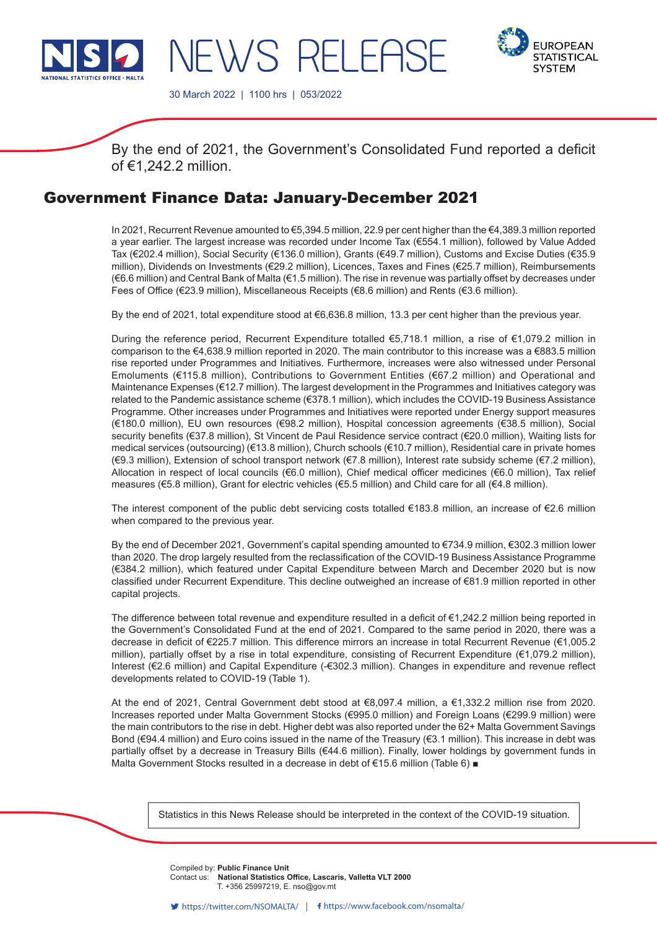

NEWS RELEASE



30 March 2022 | 1100 hrs | 053/2022

By the end of 2021, the Government's Consolidated Fund reported a deficit of €1,242.2 million.

## Government Finance Data: January-December 2021

In 2021, Recurrent Revenue amounted to €5,394.5 million, 22.9 per cent higher than the €4,389.3 million reported a year earlier. The largest increase was recorded under Income Tax (€554.1 million), followed by Value Added Tax (€202.4 million), Social Security (€136.0 million), Grants (€49.7 million), Customs and Excise Duties (€35.9 million), Dividends on Investments (€29.2 million), Licences, Taxes and Fines (€25.7 million), Reimbursements (€6.6 million) and Central Bank of Malta (€1.5 million). The rise in revenue was partially offset by decreases under Fees of Office (€23.9 million), Miscellaneous Receipts (€8.6 million) and Rents (€3.6 million).

By the end of 2021, total expenditure stood at €6,636.8 million, 13.3 per cent higher than the previous year.

During the reference period, Recurrent Expenditure totalled €5,718.1 million, a rise of €1,079.2 million in comparison to the €4,638.9 million reported in 2020. The main contributor to this increase was a €883.5 million rise reported under Programmes and Initiatives. Furthermore, increases were also witnessed under Personal Emoluments (€115.8 million), Contributions to Government Entities (€67.2 million) and Operational and Maintenance Expenses (€12.7 million). The largest development in the Programmes and Initiatives category was related to the Pandemic assistance scheme (€378.1 million), which includes the COVID-19 Business Assistance Programme. Other increases under Programmes and Initiatives were reported under Energy support measures (€180.0 million), EU own resources (€98.2 million), Hospital concession agreements (€38.5 million), Social security benefits (€37.8 million), St Vincent de Paul Residence service contract (€20.0 million), Waiting lists for medical services (outsourcing) (€13.8 million), Church schools (€10.7 million), Residential care in private homes (€9.3 million), Extension of school transport network (€7.8 million), Interest rate subsidy scheme (€7.2 million), Allocation in respect of local councils (€6.0 million), Chief medical officer medicines (€6.0 million), Tax relief measures (€5.8 million), Grant for electric vehicles (€5.5 million) and Child care for all (€4.8 million).

The interest component of the public debt servicing costs totalled €183.8 million, an increase of €2.6 million when compared to the previous year.

By the end of December 2021, Government's capital spending amounted to €734.9 million, €302.3 million lower than 2020. The drop largely resulted from the reclassification of the COVID-19 Business Assistance Programme (€384.2 million), which featured under Capital Expenditure between March and December 2020 but is now classified under Recurrent Expenditure. This decline outweighed an increase of €81.9 million reported in other capital projects.

The difference between total revenue and expenditure resulted in a deficit of €1,242.2 million being reported in the Government's Consolidated Fund at the end of 2021. Compared to the same period in 2020, there was a decrease in deficit of €225.7 million. This difference mirrors an increase in total Recurrent Revenue (€1,005.2 million), partially offset by a rise in total expenditure, consisting of Recurrent Expenditure (€1,079.2 million), Interest (€2.6 million) and Capital Expenditure (-€302.3 million). Changes in expenditure and revenue reflect developments related to COVID-19 (Table 1).

At the end of 2021, Central Government debt stood at €8,097.4 million, a €1,332.2 million rise from 2020. Increases reported under Malta Government Stocks (€995.0 million) and Foreign Loans (€299.9 million) were the main contributors to the rise in debt. Higher debt was also reported under the 62+ Malta Government Savings Bond (€94.4 million) and Euro coins issued in the name of the Treasury (€3.1 million). This increase in debt was partially offset by a decrease in Treasury Bills (€44.6 million). Finally, lower holdings by government funds in Malta Government Stocks resulted in a decrease in debt of €15.6 million (Table 6) ■

Statistics in this News Release should be interpreted in the context of the COVID-19 situation.

Compiled by: Public Finance Unit **Company** from this release. **Contact us: National Statistics Office, Lascaris, Valletta VLT 2000** T. +356 25997219, E. nso@gov.mt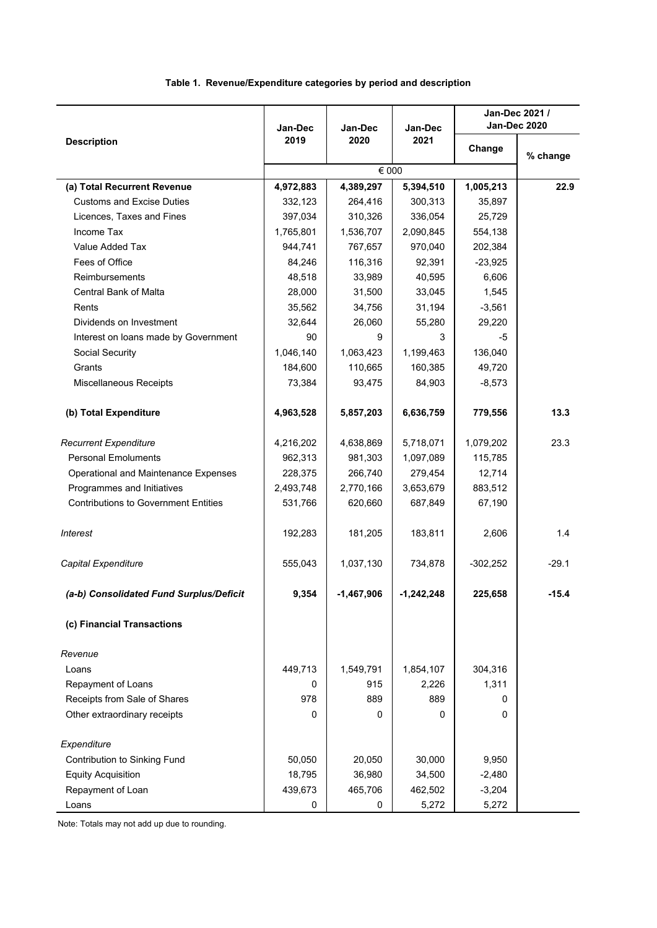## **Table 1. Revenue/Expenditure categories by period and description**

|                                             | Jan-Dec   | Jan-Dec      | Jan-Dec   |            | Jan-Dec 2021 /<br>Jan-Dec 2020 |
|---------------------------------------------|-----------|--------------|-----------|------------|--------------------------------|
| <b>Description</b>                          | 2019      | 2020         | 2021      | Change     | % change                       |
|                                             |           | € 000        |           |            |                                |
| (a) Total Recurrent Revenue                 | 4,972,883 | 4,389,297    | 5,394,510 | 1,005,213  | 22.9                           |
| <b>Customs and Excise Duties</b>            | 332,123   | 264,416      | 300,313   | 35,897     |                                |
| Licences, Taxes and Fines                   | 397,034   | 310,326      | 336,054   | 25,729     |                                |
| Income Tax                                  | 1,765,801 | 1,536,707    | 2,090,845 | 554,138    |                                |
| Value Added Tax                             | 944,741   | 767,657      | 970,040   | 202,384    |                                |
| Fees of Office                              | 84,246    | 116,316      | 92,391    | $-23,925$  |                                |
| <b>Reimbursements</b>                       | 48,518    | 33,989       | 40,595    | 6,606      |                                |
| Central Bank of Malta                       | 28,000    | 31,500       | 33,045    | 1,545      |                                |
| Rents                                       | 35,562    | 34,756       | 31,194    | $-3,561$   |                                |
| Dividends on Investment                     | 32,644    | 26,060       | 55,280    | 29,220     |                                |
| Interest on loans made by Government        | 90        | 9            | 3         | -5         |                                |
| Social Security                             | 1,046,140 | 1,063,423    | 1,199,463 | 136,040    |                                |
| Grants                                      | 184,600   | 110,665      | 160,385   | 49,720     |                                |
| Miscellaneous Receipts                      | 73,384    | 93,475       | 84,903    | $-8,573$   |                                |
| (b) Total Expenditure                       | 4,963,528 | 5,857,203    | 6,636,759 | 779,556    | 13.3                           |
| <b>Recurrent Expenditure</b>                | 4,216,202 | 4,638,869    | 5,718,071 | 1,079,202  | 23.3                           |
| <b>Personal Emoluments</b>                  | 962,313   | 981,303      | 1,097,089 | 115,785    |                                |
| Operational and Maintenance Expenses        | 228,375   | 266,740      | 279,454   | 12,714     |                                |
| Programmes and Initiatives                  | 2,493,748 | 2,770,166    | 3,653,679 | 883,512    |                                |
| <b>Contributions to Government Entities</b> | 531,766   | 620,660      | 687,849   | 67,190     |                                |
| <b>Interest</b>                             | 192,283   | 181,205      | 183,811   | 2,606      | 1.4                            |
| Capital Expenditure                         | 555,043   | 1,037,130    | 734,878   | $-302,252$ | $-29.1$                        |
| (a-b) Consolidated Fund Surplus/Deficit     | 9,354     | $-1,467,906$ | 1,242,248 | 225,658    | 15.4                           |
| (c) Financial Transactions                  |           |              |           |            |                                |
| Revenue                                     |           |              |           |            |                                |
| Loans                                       | 449,713   | 1,549,791    | 1,854,107 | 304,316    |                                |
| Repayment of Loans                          | 0         | 915          | 2,226     | 1,311      |                                |
| Receipts from Sale of Shares                | 978       | 889          | 889       | 0          |                                |
| Other extraordinary receipts                | 0         | 0            | 0         | 0          |                                |
| Expenditure                                 |           |              |           |            |                                |
| Contribution to Sinking Fund                | 50,050    | 20,050       | 30,000    | 9,950      |                                |
| <b>Equity Acquisition</b>                   | 18,795    | 36,980       | 34,500    | $-2,480$   |                                |
| Repayment of Loan                           | 439,673   | 465,706      | 462,502   | $-3,204$   |                                |
| Loans                                       | 0         | 0            | 5,272     | 5,272      |                                |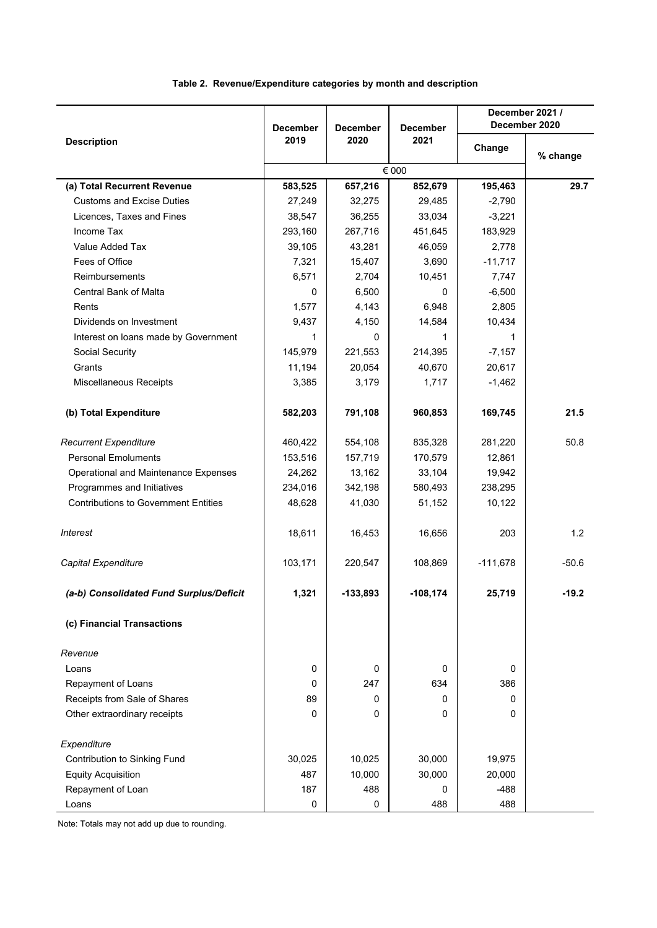## **Table 2. Revenue/Expenditure categories by month and description**

|                                             | <b>December</b> | <b>December</b> | <b>December</b> | December 2021 /<br>December 2020 |          |  |
|---------------------------------------------|-----------------|-----------------|-----------------|----------------------------------|----------|--|
| <b>Description</b>                          | 2019<br>2020    |                 | 2021            | Change                           | % change |  |
|                                             |                 |                 | € 000           |                                  |          |  |
| (a) Total Recurrent Revenue                 | 583,525         | 657,216         | 852,679         | 195,463                          | 29.7     |  |
| <b>Customs and Excise Duties</b>            | 27,249          | 32,275          | 29,485          | $-2,790$                         |          |  |
| Licences, Taxes and Fines                   | 38,547          | 36,255          | 33,034          | $-3,221$                         |          |  |
| Income Tax                                  | 293,160         | 267,716         | 451,645         | 183,929                          |          |  |
| Value Added Tax                             | 39,105          | 43,281          | 46,059          | 2,778                            |          |  |
| Fees of Office                              | 7,321           | 15,407          | 3,690           | $-11,717$                        |          |  |
| <b>Reimbursements</b>                       | 6,571           | 2,704           | 10,451          | 7,747                            |          |  |
| Central Bank of Malta                       | 0               | 6,500           | 0               | $-6,500$                         |          |  |
| Rents                                       | 1,577           | 4,143           | 6,948           | 2,805                            |          |  |
| Dividends on Investment                     | 9,437           | 4,150           | 14,584          | 10,434                           |          |  |
| Interest on loans made by Government        | 1               | 0               | 1               | 1                                |          |  |
| Social Security                             | 145,979         | 221,553         | 214,395         | $-7,157$                         |          |  |
| Grants                                      | 11,194          | 20,054          | 40,670          | 20,617                           |          |  |
| Miscellaneous Receipts                      | 3,385           | 3,179           | 1,717           | $-1,462$                         |          |  |
|                                             |                 |                 |                 |                                  |          |  |
| (b) Total Expenditure                       | 582,203         | 791,108         | 960,853         | 169,745                          | 21.5     |  |
| <b>Recurrent Expenditure</b>                | 460,422         | 554,108         | 835,328         | 281,220                          | 50.8     |  |
| <b>Personal Emoluments</b>                  | 153,516         | 157,719         | 170,579         | 12,861                           |          |  |
| Operational and Maintenance Expenses        | 24,262          | 13,162          | 33,104          | 19,942                           |          |  |
| Programmes and Initiatives                  | 234,016         | 342,198         | 580,493         | 238,295                          |          |  |
| <b>Contributions to Government Entities</b> | 48,628          | 41,030          | 51,152          | 10,122                           |          |  |
| <b>Interest</b>                             | 18,611          | 16,453          | 16,656          | 203                              | 1.2      |  |
| Capital Expenditure                         | 103,171         | 220,547         | 108,869         | $-111,678$                       | $-50.6$  |  |
| (a-b) Consolidated Fund Surplus/Deficit     | 1,321           | -133,893        | -108,174        | 25,719                           | -19.2    |  |
| (c) Financial Transactions                  |                 |                 |                 |                                  |          |  |
| Revenue                                     |                 |                 |                 |                                  |          |  |
| Loans                                       | 0               | 0               | 0               | 0                                |          |  |
| Repayment of Loans                          | 0               | 247             | 634             | 386                              |          |  |
| Receipts from Sale of Shares                | 89              | 0               | $\Omega$        | 0                                |          |  |
| Other extraordinary receipts                | 0               | 0               | 0               | 0                                |          |  |
| Expenditure                                 |                 |                 |                 |                                  |          |  |
| Contribution to Sinking Fund                | 30,025          | 10,025          | 30,000          | 19,975                           |          |  |
| <b>Equity Acquisition</b>                   | 487             | 10,000          | 30,000          | 20,000                           |          |  |
| Repayment of Loan                           | 187             | 488             | $\Omega$        | $-488$                           |          |  |
| Loans                                       | 0               | 0               | 488             | 488                              |          |  |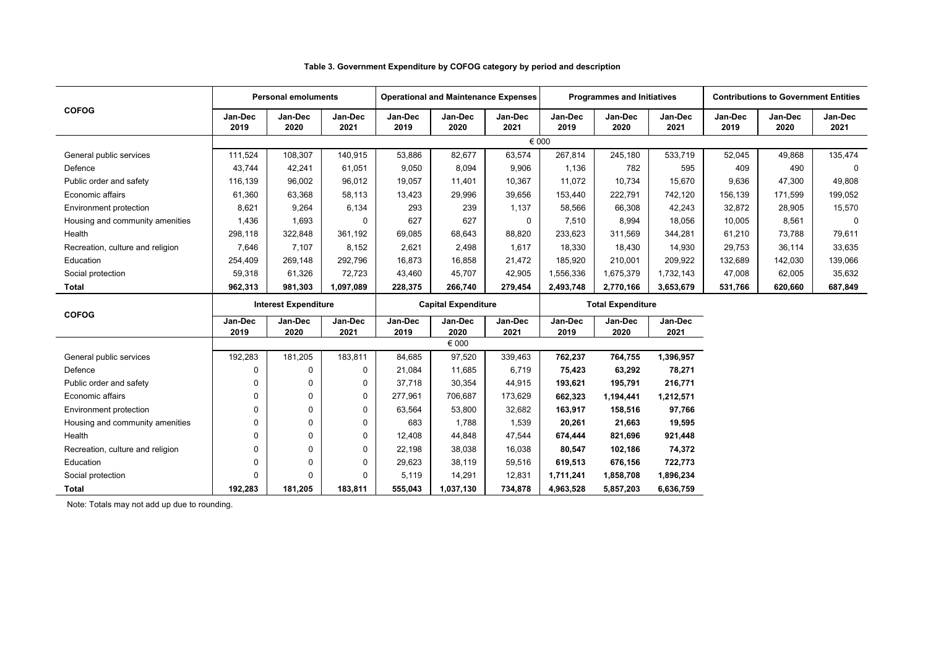|                                  |                             | <b>Personal emoluments</b> |                 |                                                        |                 | <b>Operational and Maintenance Expenses</b> |                 | <b>Programmes and Initiatives</b> |                 |                 | <b>Contributions to Government Entities</b> |                 |
|----------------------------------|-----------------------------|----------------------------|-----------------|--------------------------------------------------------|-----------------|---------------------------------------------|-----------------|-----------------------------------|-----------------|-----------------|---------------------------------------------|-----------------|
| <b>COFOG</b>                     | Jan-Dec<br>2019             | Jan-Dec<br>2020            | Jan-Dec<br>2021 | Jan-Dec<br>2019                                        | Jan-Dec<br>2020 | Jan-Dec<br>2021                             | Jan-Dec<br>2019 | Jan-Dec<br>2020                   | Jan-Dec<br>2021 | Jan-Dec<br>2019 | Jan-Dec<br>2020                             | Jan-Dec<br>2021 |
|                                  |                             |                            |                 |                                                        |                 | € 000                                       |                 |                                   |                 |                 |                                             |                 |
| General public services          | 111,524                     | 108,307                    | 140,915         | 53,886                                                 | 82,677          | 63,574                                      | 267,814         | 245,180                           | 533,719         | 52,045          | 49,868                                      | 135,474         |
| Defence                          | 43,744                      | 42,241                     | 61,051          | 9,050                                                  | 8.094           | 9,906                                       | 1.136           | 782                               | 595             | 409             | 490                                         | $\Omega$        |
| Public order and safety          | 116,139                     | 96,002                     | 96,012          | 19,057                                                 | 11,401          | 10,367                                      | 11,072          | 10,734                            | 15,670          | 9,636           | 47,300                                      | 49,808          |
| Economic affairs                 | 61,360                      | 63,368                     | 58,113          | 13,423                                                 | 29,996          | 39,656                                      | 153,440         | 222,791                           | 742,120         | 156,139         | 171,599                                     | 199,052         |
| Environment protection           | 8,621                       | 9,264                      | 6,134           | 293                                                    | 239             | 1,137                                       | 58,566          | 66,308                            | 42,243          | 32,872          | 28,905                                      | 15,570          |
| Housing and community amenities  | 1,436                       | 1,693                      | $\Omega$        | 627                                                    | 627             | $\Omega$                                    | 7,510           | 8,994                             | 18,056          | 10,005          | 8,561                                       | $\Omega$        |
| Health                           | 298,118                     | 322,848                    | 361,192         | 69,085                                                 | 68,643          | 88,820                                      | 233,623         | 311,569                           | 344,281         | 61,210          | 73,788                                      | 79,611          |
| Recreation, culture and religion | 7,646                       | 7,107                      | 8,152           | 2,621                                                  | 2,498           | 1,617                                       | 18,330          | 18,430                            | 14,930          | 29,753          | 36,114                                      | 33,635          |
| Education                        | 254,409                     | 269,148                    | 292,796         | 16,873                                                 | 16,858          | 21,472                                      | 185,920         | 210,001                           | 209,922         | 132,689         | 142,030                                     | 139,066         |
| Social protection                | 59,318                      | 61,326                     | 72,723          | 43,460                                                 | 45,707          | 42,905                                      | 1,556,336       | 1,675,379                         | 1,732,143       | 47,008          | 62,005                                      | 35,632          |
| <b>Total</b>                     | 962,313                     | 981,303                    | 1,097,089       | 228,375                                                | 266,740         | 279,454                                     | 2,493,748       | 2,770,166                         | 3,653,679       | 531,766         | 620,660                                     | 687,849         |
|                                  | <b>Interest Expenditure</b> |                            |                 | <b>Total Expenditure</b><br><b>Capital Expenditure</b> |                 |                                             |                 |                                   |                 |                 |                                             |                 |
| <b>COFOG</b>                     | Jan-Dec<br>2019             | Jan-Dec<br>2020            | Jan-Dec<br>2021 | Jan-Dec<br>2019                                        | Jan-Dec<br>2020 | Jan-Dec<br>2021                             | Jan-Dec<br>2019 | Jan-Dec<br>2020                   | Jan-Dec<br>2021 |                 |                                             |                 |
|                                  |                             |                            |                 |                                                        | € 000           |                                             |                 |                                   |                 |                 |                                             |                 |
| General public services          | 192,283                     | 181,205                    | 183,811         | 84,685                                                 | 97,520          | 339,463                                     | 762,237         | 764,755                           | 1,396,957       |                 |                                             |                 |
| Defence                          | 0                           | 0                          | $\mathbf 0$     | 21,084                                                 | 11,685          | 6,719                                       | 75,423          | 63,292                            | 78,271          |                 |                                             |                 |
| Public order and safety          | 0                           | $\Omega$                   | $\mathbf 0$     | 37,718                                                 | 30,354          | 44,915                                      | 193,621         | 195,791                           | 216,771         |                 |                                             |                 |
| Economic affairs                 | 0                           | $\Omega$                   | 0               | 277.961                                                | 706,687         | 173,629                                     | 662,323         | 1,194,441                         | 1,212,571       |                 |                                             |                 |
| Environment protection           | 0                           | $\mathbf 0$                | $\mathbf 0$     | 63,564                                                 | 53,800          | 32,682                                      | 163,917         | 158,516                           | 97,766          |                 |                                             |                 |
| Housing and community amenities  | $\mathbf 0$                 | 0                          | 0               | 683                                                    | 1.788           | 1,539                                       | 20,261          | 21,663                            | 19,595          |                 |                                             |                 |
| Health                           | $\mathbf 0$                 | $\Omega$                   | $\mathbf 0$     | 12,408                                                 | 44,848          | 47,544                                      | 674,444         | 821,696                           | 921,448         |                 |                                             |                 |
| Recreation, culture and religion | 0                           | $\Omega$                   | $\mathbf 0$     | 22,198                                                 | 38,038          | 16,038                                      | 80,547          | 102,186                           | 74,372          |                 |                                             |                 |
| Education                        | 0                           | $\Omega$                   | 0               | 29,623                                                 | 38,119          | 59,516                                      | 619,513         | 676,156                           | 722,773         |                 |                                             |                 |
| Social protection                | $\Omega$                    | $\Omega$                   | $\Omega$        | 5,119                                                  | 14,291          | 12,831                                      | 1,711,241       | 1,858,708                         | 1,896,234       |                 |                                             |                 |
| <b>Total</b>                     | 192.283                     | 181.205                    | 183.811         | 555.043                                                | 1,037,130       | 734,878                                     | 4,963,528       | 5,857,203                         | 6,636,759       |                 |                                             |                 |

**Table 3. Government Expenditure by COFOG category by period and description**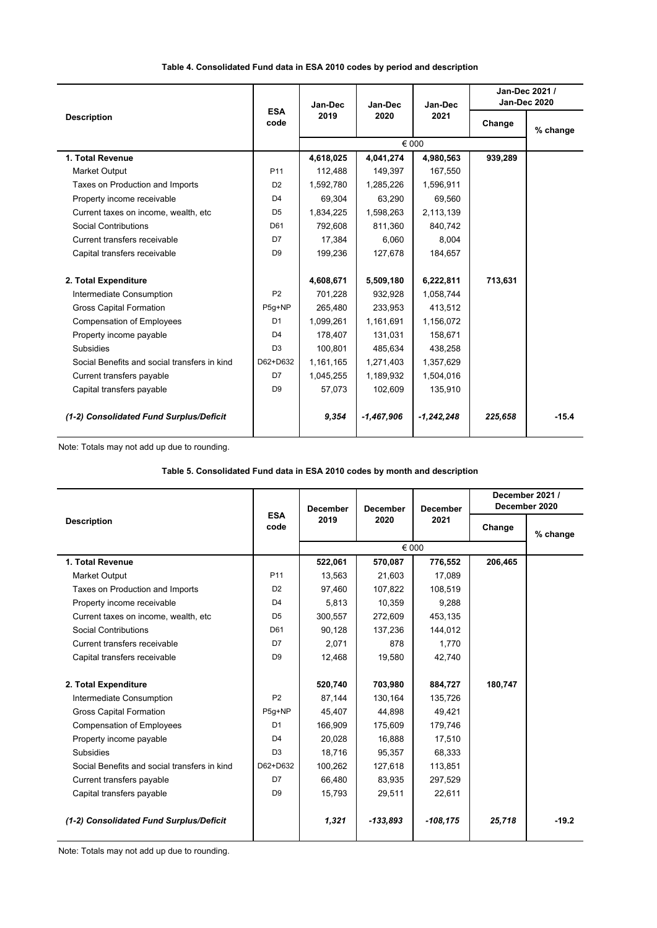**Table 4. Consolidated Fund data in ESA 2010 codes by period and description**

|                                              | <b>ESA</b><br>code | Jan-Dec<br>2019 | Jan-Dec      | Jan-Dec      |         | Jan-Dec 2021 /<br><b>Jan-Dec 2020</b> |
|----------------------------------------------|--------------------|-----------------|--------------|--------------|---------|---------------------------------------|
| <b>Description</b>                           |                    |                 | 2020         | 2021         | Change  | % change                              |
|                                              |                    |                 |              | € 000        |         |                                       |
| 1. Total Revenue                             |                    | 4,618,025       | 4,041,274    | 4,980,563    | 939,289 |                                       |
| <b>Market Output</b>                         | P <sub>11</sub>    | 112,488         | 149,397      | 167,550      |         |                                       |
| Taxes on Production and Imports              | D <sub>2</sub>     | 1,592,780       | 1,285,226    | 1,596,911    |         |                                       |
| Property income receivable                   | D <sub>4</sub>     | 69,304          | 63,290       | 69,560       |         |                                       |
| Current taxes on income, wealth, etc         | D <sub>5</sub>     | 1,834,225       | 1,598,263    | 2,113,139    |         |                                       |
| Social Contributions                         | D61                | 792,608         | 811,360      | 840,742      |         |                                       |
| Current transfers receivable                 | D7                 | 17,384          | 6.060        | 8.004        |         |                                       |
| Capital transfers receivable                 | D <sub>9</sub>     | 199,236         | 127,678      | 184,657      |         |                                       |
|                                              |                    |                 |              |              |         |                                       |
| 2. Total Expenditure                         |                    | 4,608,671       | 5,509,180    | 6,222,811    | 713,631 |                                       |
| Intermediate Consumption                     | P <sub>2</sub>     | 701,228         | 932,928      | 1,058,744    |         |                                       |
| <b>Gross Capital Formation</b>               | $P5g+NP$           | 265,480         | 233,953      | 413,512      |         |                                       |
| <b>Compensation of Employees</b>             | D <sub>1</sub>     | 1,099,261       | 1,161,691    | 1,156,072    |         |                                       |
| Property income payable                      | D <sub>4</sub>     | 178,407         | 131,031      | 158,671      |         |                                       |
| Subsidies                                    | D <sub>3</sub>     | 100,801         | 485,634      | 438,258      |         |                                       |
| Social Benefits and social transfers in kind | D62+D632           | 1,161,165       | 1,271,403    | 1,357,629    |         |                                       |
| Current transfers payable                    | D7                 | 1,045,255       | 1,189,932    | 1,504,016    |         |                                       |
| Capital transfers payable                    | D <sub>9</sub>     | 57,073          | 102,609      | 135,910      |         |                                       |
| (1-2) Consolidated Fund Surplus/Deficit      |                    | 9,354           | $-1,467,906$ | $-1,242,248$ | 225,658 | $-15.4$                               |

Note: Totals may not add up due to rounding.

**Table 5. Consolidated Fund data in ESA 2010 codes by month and description**

|                                              | <b>ESA</b><br>code | <b>December</b> | <b>December</b> | <b>December</b> | December 2021 /<br>December 2020 |          |
|----------------------------------------------|--------------------|-----------------|-----------------|-----------------|----------------------------------|----------|
| <b>Description</b>                           |                    | 2019            | 2020            | 2021            | Change                           | % change |
|                                              |                    |                 |                 | € 000           |                                  |          |
| 1. Total Revenue                             |                    | 522,061         | 570,087         | 776,552         | 206,465                          |          |
| <b>Market Output</b>                         | P <sub>11</sub>    | 13,563          | 21,603          | 17,089          |                                  |          |
| Taxes on Production and Imports              | D <sub>2</sub>     | 97,460          | 107,822         | 108,519         |                                  |          |
| Property income receivable                   | D <sub>4</sub>     | 5,813           | 10,359          | 9,288           |                                  |          |
| Current taxes on income, wealth, etc.        | D <sub>5</sub>     | 300,557         | 272.609         | 453,135         |                                  |          |
| Social Contributions                         | D61                | 90,128          | 137,236         | 144,012         |                                  |          |
| Current transfers receivable                 | D7                 | 2,071           | 878             | 1,770           |                                  |          |
| Capital transfers receivable                 | D <sub>9</sub>     | 12,468          | 19,580          | 42,740          |                                  |          |
|                                              |                    |                 |                 |                 |                                  |          |
| 2. Total Expenditure                         |                    | 520,740         | 703,980         | 884,727         | 180,747                          |          |
| Intermediate Consumption                     | P <sub>2</sub>     | 87,144          | 130,164         | 135,726         |                                  |          |
| <b>Gross Capital Formation</b>               | P5g+NP             | 45,407          | 44,898          | 49,421          |                                  |          |
| <b>Compensation of Employees</b>             | D <sub>1</sub>     | 166.909         | 175,609         | 179,746         |                                  |          |
| Property income payable                      | D <sub>4</sub>     | 20,028          | 16,888          | 17,510          |                                  |          |
| <b>Subsidies</b>                             | D <sub>3</sub>     | 18,716          | 95,357          | 68,333          |                                  |          |
| Social Benefits and social transfers in kind | D62+D632           | 100,262         | 127,618         | 113,851         |                                  |          |
| Current transfers payable                    | D7                 | 66,480          | 83,935          | 297,529         |                                  |          |
| Capital transfers payable                    | D <sub>9</sub>     | 15,793          | 29,511          | 22,611          |                                  |          |
| (1-2) Consolidated Fund Surplus/Deficit      |                    | 1,321           | $-133,893$      | $-108, 175$     | 25,718                           | $-19.2$  |
|                                              |                    |                 |                 |                 |                                  |          |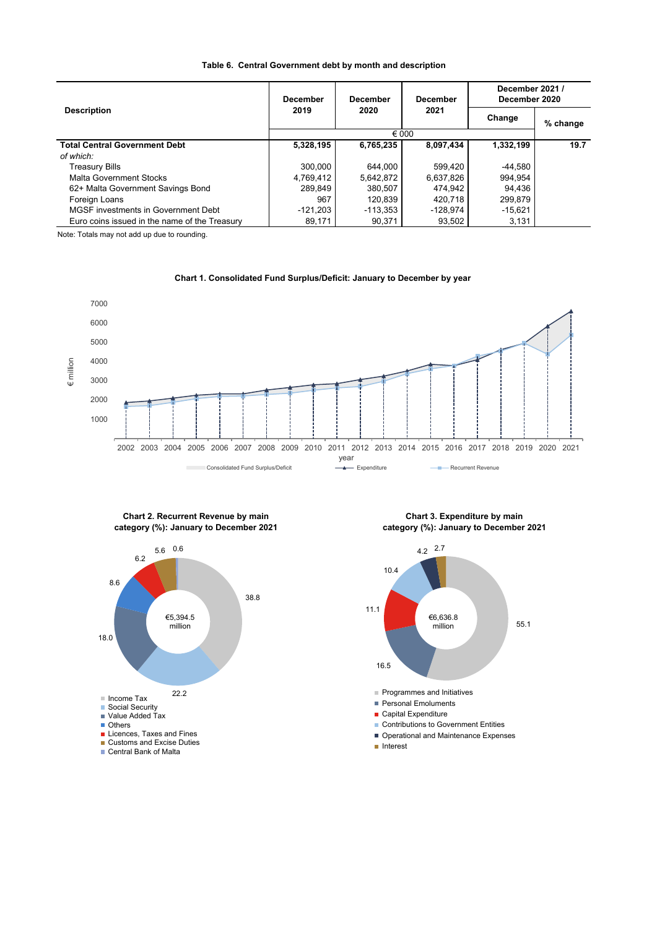| Table 6. Central Government debt by month and description |
|-----------------------------------------------------------|
|-----------------------------------------------------------|

|                                               | <b>December</b> | <b>December</b> | <b>December</b> | December 2021 /<br>December 2020 |          |  |  |
|-----------------------------------------------|-----------------|-----------------|-----------------|----------------------------------|----------|--|--|
| <b>Description</b>                            | 2019            | 2020            | 2021            | Change                           | % change |  |  |
|                                               | € 000           |                 |                 |                                  |          |  |  |
| <b>Total Central Government Debt</b>          | 5,328,195       | 6,765,235       | 8,097,434       | 1,332,199                        | 19.7     |  |  |
| of which:                                     |                 |                 |                 |                                  |          |  |  |
| <b>Treasury Bills</b>                         | 300,000         | 644,000         | 599.420         | $-44,580$                        |          |  |  |
| <b>Malta Government Stocks</b>                | 4,769,412       | 5,642,872       | 6,637,826       | 994,954                          |          |  |  |
| 62+ Malta Government Savings Bond             | 289,849         | 380.507         | 474.942         | 94,436                           |          |  |  |
| Foreign Loans                                 | 967             | 120,839         | 420.718         | 299,879                          |          |  |  |
| MGSF investments in Government Debt           | $-121,203$      | $-113.353$      | $-128.974$      | $-15,621$                        |          |  |  |
| Euro coins issued in the name of the Treasury | 89,171          | 90.371          | 93.502          | 3,131                            |          |  |  |

Note: Totals may not add up due to rounding.



**Chart 1. Consolidated Fund Surplus/Deficit: January to December by year** 



**Chart 2. Recurrent Revenue by main** 

 **Chart 3. Expenditure by main category (%): January to December 2021**